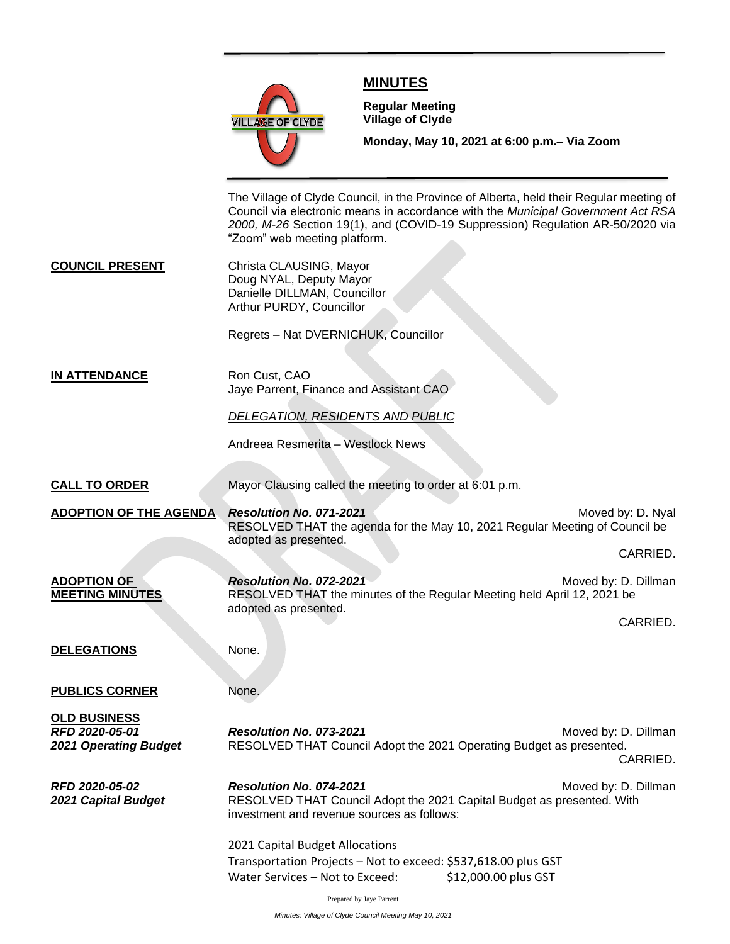

# **MINUTES**

**Meeting**

**Regular Meeting Village of Clyde**

**Monday, May 10, 2021 at 6:00 p.m.– Via Zoom** 

The Village of Clyde Council, in the Province of Alberta, held their Regular meeting of Council via electronic means in accordance with the *Municipal Government Act RSA 2000, M-26* Section 19(1), and (COVID-19 Suppression) Regulation AR-50/2020 via "Zoom" web meeting platform.

**COUNCIL PRESENT** Christa CLAUSING, Mayor Doug NYAL, Deputy Mayor Danielle DILLMAN, Councillor Arthur PURDY, Councillor

Regrets – Nat DVERNICHUK, Councillor

**IN ATTENDANCE** Ron Cust, CAO Jaye Parrent, Finance and Assistant CAO

*DELEGATION, RESIDENTS AND PUBLIC*

Andreea Resmerita – Westlock News

**CALL TO ORDER** Mayor Clausing called the meeting to order at 6:01 p.m.

**ADOPTION OF THE AGENDA** *Resolution No. 071-2021* **Moved by: D. Nyal** *Moved by: D. Nyal* RESOLVED THAT the agenda for the May 10, 2021 Regular Meeting of Council be adopted as presented.

CARRIED.

**ADOPTION OF** *Resolution No. 072-2021**Resolution No. 072-2021* **MEETING MINUTES** RESOLVED THAT the minutes of the Regular Meeting held April 12, 2021 be adopted as presented.

CARRIED.

**DELEGATIONS** None.

**PUBLICS CORNER** None.

**OLD BUSINESS**

**RFD 2020-05-01 Resolution No. 073-2021 RED 2020-05-01** Moved by: D. Dillman 2021 Operating Budget **RESOLVED THAT Council Adopt the 2021 Operating Budget as presented.** CARRIED.

**RFD 2020-05-02 Resolution No. 074-2021 Resolution No. 074-2021** Moved by: D. Dillman *2021 Capital Budget* RESOLVED THAT Council Adopt the 2021 Capital Budget as presented. With investment and revenue sources as follows:

> 2021 Capital Budget Allocations Transportation Projects – Not to exceed: \$537,618.00 plus GST Water Services – Not to Exceed: \$12,000.00 plus GST

> > Prepared by Jaye Parrent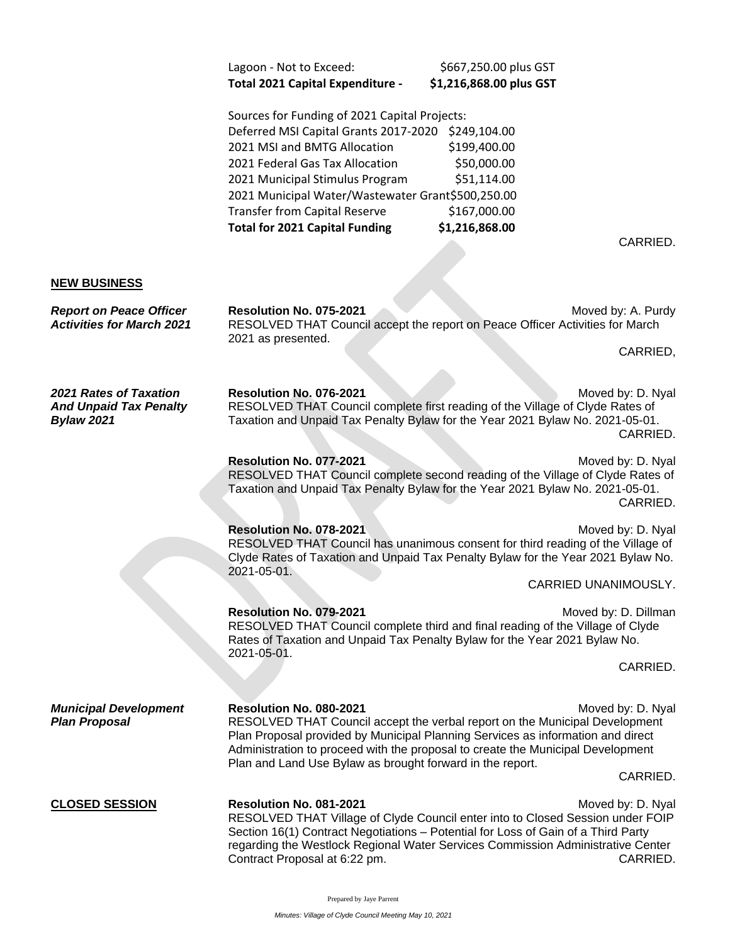| Total 2021 Capital Expenditure - | \$1,216,868.00 plus GST |
|----------------------------------|-------------------------|
| Lagoon - Not to Exceed:          | \$667,250.00 plus GST   |

Sources for Funding of 2021 Capital Projects: Deferred MSI Capital Grants 2017-2020 \$249,104.00 2021 MSI and BMTG Allocation \$199,400.00 2021 Federal Gas Tax Allocation \$50,000.00 2021 Municipal Stimulus Program \$51,114.00 2021 Municipal Water/Wastewater Grant\$500,250.00 Transfer from Capital Reserve \$167,000.00 **Total for 2021 Capital Funding \$1,216,868.00**

CARRIED.

#### **NEW BUSINESS**

**Report on Peace Officer CRESOLUTION No. 075-2021** Moved by: A. Purdy *Activities for March 2021* RESOLVED THAT Council accept the report on Peace Officer Activities for March 2021 as presented.

CARRIED,

**2021 Rates of Taxation Resolution No. 076-2021** Moved by: D. Nyal *And Unpaid Tax Penalty* RESOLVED THAT Council complete first reading of the Village of Clyde Rates of *Bylaw 2021* Taxation and Unpaid Tax Penalty Bylaw for the Year 2021 Bylaw No. 2021-05-01. CARRIED.

### **Resolution No. 077-2021** Moved by: D. Nyal RESOLVED THAT Council complete second reading of the Village of Clyde Rates of Taxation and Unpaid Tax Penalty Bylaw for the Year 2021 Bylaw No. 2021-05-01. CARRIED.

**Resolution No. 078-2021** Moved by: D. Nyal RESOLVED THAT Council has unanimous consent for third reading of the Village of Clyde Rates of Taxation and Unpaid Tax Penalty Bylaw for the Year 2021 Bylaw No. 2021-05-01.

CARRIED UNANIMOUSLY.

### **Resolution No. 079-2021** Moved by: D. Dillman RESOLVED THAT Council complete third and final reading of the Village of Clyde Rates of Taxation and Unpaid Tax Penalty Bylaw for the Year 2021 Bylaw No. 2021-05-01.

CARRIED.

*Municipal Development* **Resolution No. 080-2021** Moved by: D. Nyal **Plan Proposal** RESOLVED THAT Council accept the verbal report on the Municipal Development Plan Proposal provided by Municipal Planning Services as information and direct Administration to proceed with the proposal to create the Municipal Development

CARRIED.

# **CLOSED SESSION Resolution No. 081-2021 Resolution No. 081-2021** Moved by: D. Nyal

RESOLVED THAT Village of Clyde Council enter into to Closed Session under FOIP Section 16(1) Contract Negotiations – Potential for Loss of Gain of a Third Party regarding the Westlock Regional Water Services Commission Administrative Center Contract Proposal at 6:22 pm. CARRIED.

Plan and Land Use Bylaw as brought forward in the report.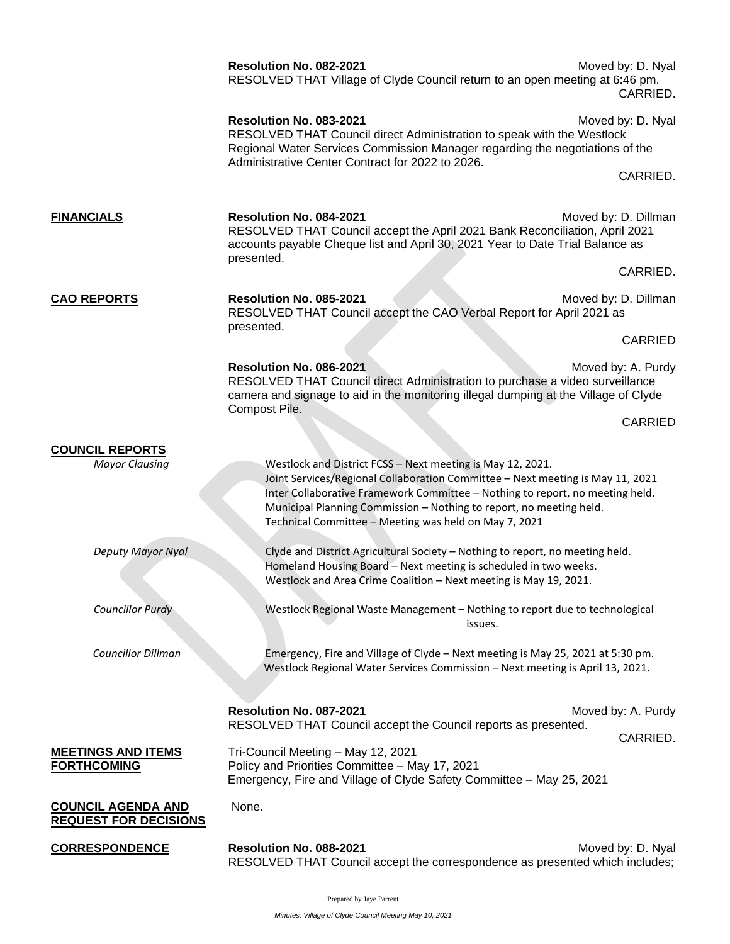|                                                           | Resolution No. 082-2021<br>RESOLVED THAT Village of Clyde Council return to an open meeting at 6:46 pm.                                                                                                                                                                                                                                                       | Moved by: D. Nyal<br>CARRIED. |
|-----------------------------------------------------------|---------------------------------------------------------------------------------------------------------------------------------------------------------------------------------------------------------------------------------------------------------------------------------------------------------------------------------------------------------------|-------------------------------|
|                                                           | Resolution No. 083-2021<br>RESOLVED THAT Council direct Administration to speak with the Westlock<br>Regional Water Services Commission Manager regarding the negotiations of the<br>Administrative Center Contract for 2022 to 2026.                                                                                                                         | Moved by: D. Nyal             |
|                                                           |                                                                                                                                                                                                                                                                                                                                                               | CARRIED.                      |
| <b>FINANCIALS</b>                                         | Resolution No. 084-2021<br>RESOLVED THAT Council accept the April 2021 Bank Reconciliation, April 2021<br>accounts payable Cheque list and April 30, 2021 Year to Date Trial Balance as<br>presented.                                                                                                                                                         | Moved by: D. Dillman          |
|                                                           |                                                                                                                                                                                                                                                                                                                                                               | CARRIED.                      |
| <b>CAO REPORTS</b>                                        | Resolution No. 085-2021<br>RESOLVED THAT Council accept the CAO Verbal Report for April 2021 as<br>presented.                                                                                                                                                                                                                                                 | Moved by: D. Dillman          |
|                                                           |                                                                                                                                                                                                                                                                                                                                                               | <b>CARRIED</b>                |
|                                                           | Resolution No. 086-2021<br>RESOLVED THAT Council direct Administration to purchase a video surveillance<br>camera and signage to aid in the monitoring illegal dumping at the Village of Clyde                                                                                                                                                                | Moved by: A. Purdy            |
|                                                           | Compost Pile.                                                                                                                                                                                                                                                                                                                                                 | <b>CARRIED</b>                |
| <b>COUNCIL REPORTS</b><br><b>Mayor Clausing</b>           | Westlock and District FCSS - Next meeting is May 12, 2021.<br>Joint Services/Regional Collaboration Committee - Next meeting is May 11, 2021<br>Inter Collaborative Framework Committee - Nothing to report, no meeting held.<br>Municipal Planning Commission - Nothing to report, no meeting held.<br>Technical Committee - Meeting was held on May 7, 2021 |                               |
| Deputy Mayor Nyal                                         | Clyde and District Agricultural Society - Nothing to report, no meeting held.<br>Homeland Housing Board - Next meeting is scheduled in two weeks.<br>Westlock and Area Crime Coalition - Next meeting is May 19, 2021.                                                                                                                                        |                               |
| <b>Councillor Purdy</b>                                   | Westlock Regional Waste Management - Nothing to report due to technological<br>issues.                                                                                                                                                                                                                                                                        |                               |
| <b>Councillor Dillman</b>                                 | Emergency, Fire and Village of Clyde - Next meeting is May 25, 2021 at 5:30 pm.<br>Westlock Regional Water Services Commission - Next meeting is April 13, 2021.                                                                                                                                                                                              |                               |
|                                                           | Resolution No. 087-2021<br>RESOLVED THAT Council accept the Council reports as presented.                                                                                                                                                                                                                                                                     | Moved by: A. Purdy            |
|                                                           |                                                                                                                                                                                                                                                                                                                                                               | CARRIED.                      |
| <b>MEETINGS AND ITEMS</b><br><b>FORTHCOMING</b>           | Tri-Council Meeting - May 12, 2021<br>Policy and Priorities Committee - May 17, 2021<br>Emergency, Fire and Village of Clyde Safety Committee - May 25, 2021                                                                                                                                                                                                  |                               |
| <b>COUNCIL AGENDA AND</b><br><b>REQUEST FOR DECISIONS</b> | None.                                                                                                                                                                                                                                                                                                                                                         |                               |
| <b>CORRESPONDENCE</b>                                     | Resolution No. 088-2021<br>RESOLVED THAT Council accept the correspondence as presented which includes;                                                                                                                                                                                                                                                       | Moved by: D. Nyal             |

Prepared by Jaye Parrent